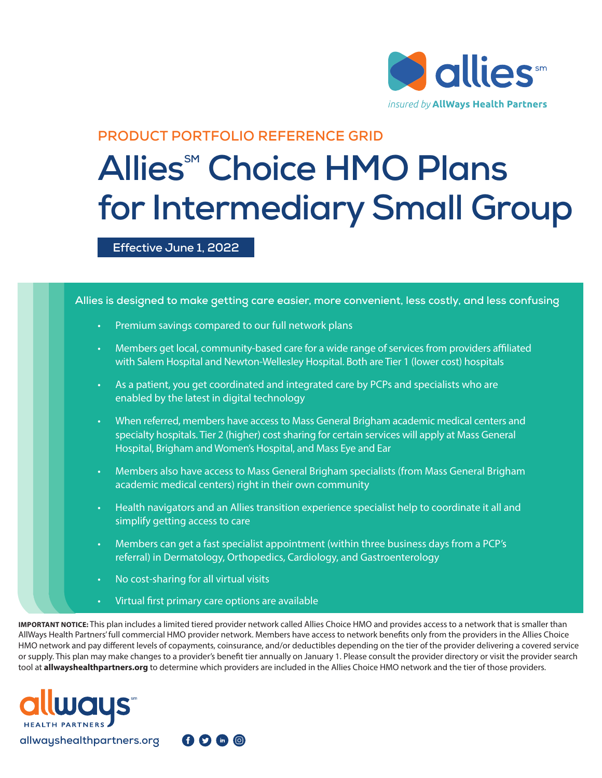

## **PRODUCT PORTFOLIO REFERENCE GRID**

## **Allies<sup>™</sup> Choice HMO Plans for Intermediary Small Group**

#### **Effective June 1, 2022**



AllWays Health Partners' full commercial HMO provider network. Members have access to network benefits only from the providers in the Allies Choice HMO network and pay different levels of copayments, coinsurance, and/or deductibles depending on the tier of the provider delivering a covered service or supply. This plan may make changes to a provider's benefit tier annually on January 1. Please consult the provider directory or visit the provider search tool at **allwayshealthpartners.org** to determine which providers are included in the Allies Choice HMO network and the tier of those providers.

 $0000$ 

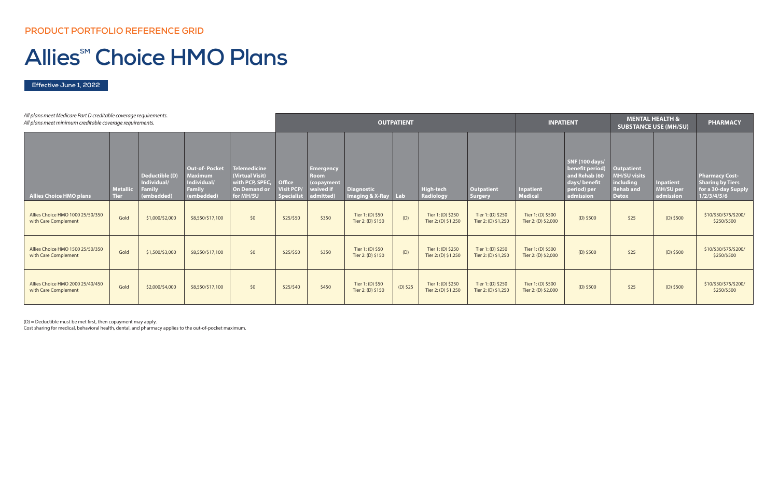| All plans meet Medicare Part D creditable coverage requirements.<br>All plans meet minimum creditable coverage requirements. |                                |                                                              |                                                                                      |                                                                                               | <b>OUTPATIENT</b>                                       |                                                                         |                                                 |                   |                                          |                                          | <b>INPATIENT</b>                         |                                                                                                       | <b>MENTAL HEALTH &amp;</b><br><b>SUBSTANCE USE (MH/SU)</b>                                |                                                   | <b>PHARMACY</b>                                                                        |
|------------------------------------------------------------------------------------------------------------------------------|--------------------------------|--------------------------------------------------------------|--------------------------------------------------------------------------------------|-----------------------------------------------------------------------------------------------|---------------------------------------------------------|-------------------------------------------------------------------------|-------------------------------------------------|-------------------|------------------------------------------|------------------------------------------|------------------------------------------|-------------------------------------------------------------------------------------------------------|-------------------------------------------------------------------------------------------|---------------------------------------------------|----------------------------------------------------------------------------------------|
| <b>Allies Choice HMO plans</b>                                                                                               | <b>Metallic</b><br><b>Tier</b> | Deductible (D)<br>Individual/<br><b>Family</b><br>(embedded) | <b>Out-of-Pocket</b><br><b>Maximum</b><br>Individual/<br><b>Family</b><br>(embedded) | <b>Telemedicine</b><br>(Virtual Visit)<br>with PCP, SPEC,<br><b>On Demand or</b><br>for MH/SU | <b>Office</b><br><b>Visit PCP/</b><br><b>Specialist</b> | <b>Emergency</b><br><b>Room</b><br>(copayment<br>waived if<br>admitted) | <b>Diagnostic</b><br><b>Imaging &amp; X-Ray</b> | $\blacksquare$ ab | <b>High-tech</b><br><b>Radiology</b>     | <b>Outpatient</b><br><b>Surgery</b>      | <b>Inpatient</b><br><b>Medical</b>       | <b>SNF (100 days/</b><br>benefit period)<br>and Rehab (60<br>days/benefit<br>period) per<br>admission | <b>Outpatient</b><br><b>MH/SU visits</b><br>including<br><b>Rehab and</b><br><b>Detox</b> | <b>Inpatient</b><br><b>MH/SU per</b><br>admission | <b>Pharmacy Cost-</b><br><b>Sharing by Tiers</b><br>for a 30-day Supply<br>1/2/3/4/5/6 |
| Allies Choice HMO 1000 25/50/350<br>with Care Complement                                                                     | Gold                           | \$1,000/\$2,000                                              | \$8,550/\$17,100                                                                     | \$0                                                                                           | \$25/550                                                | \$350                                                                   | Tier 1: (D) \$50<br>Tier 2: (D) \$150           | (D)               | Tier 1: (D) \$250<br>Tier 2: (D) \$1,250 | Tier 1: (D) \$250<br>Tier 2: (D) \$1,250 | Tier 1: (D) \$500<br>Tier 2: (D) \$2,000 | $(D)$ \$500                                                                                           | \$25                                                                                      | $(D)$ \$500                                       | \$10/\$30/\$75/\$200/<br>\$250/\$500                                                   |
| Allies Choice HMO 1500 25/50/350<br>with Care Complement                                                                     | Gold                           | \$1,500/\$3,000                                              | \$8,550/\$17,100                                                                     | \$0                                                                                           | \$25/\$50                                               | \$350                                                                   | Tier 1: (D) \$50<br>Tier 2: (D) \$150           | (D)               | Tier 1: (D) \$250<br>Tier 2: (D) \$1,250 | Tier 1: (D) \$250<br>Tier 2: (D) \$1,250 | Tier 1: (D) \$500<br>Tier 2: (D) \$2,000 | $(D)$ \$500                                                                                           | \$25                                                                                      | $(D)$ \$500                                       | \$10/\$30/\$75/\$200/<br>\$250/\$500                                                   |
| Allies Choice HMO 2000 25/40/450<br>with Care Complement                                                                     | Gold                           | \$2,000/\$4,000                                              | \$8,550/\$17,100                                                                     | \$0                                                                                           | \$25/\$40                                               | \$450                                                                   | Tier 1: (D) \$50<br>Tier 2: (D) \$150           | $(D)$ \$25        | Tier 1: (D) \$250<br>Tier 2: (D) \$1,250 | Tier 1: (D) \$250<br>Tier 2: (D) \$1,250 | Tier 1: (D) \$500<br>Tier 2: (D) \$2,000 | $(D)$ \$500                                                                                           | \$25                                                                                      | $(D)$ \$500                                       | \$10/\$30/\$75/\$200/<br>\$250/\$500                                                   |

**Effective June 1, 2022**

# **Allies<sup>SM</sup> Choice HMO Plans**

(D) = Deductible must be met first, then copayment may apply.

Cost sharing for medical, behavioral health, dental, and pharmacy applies to the out-of-pocket maximum.